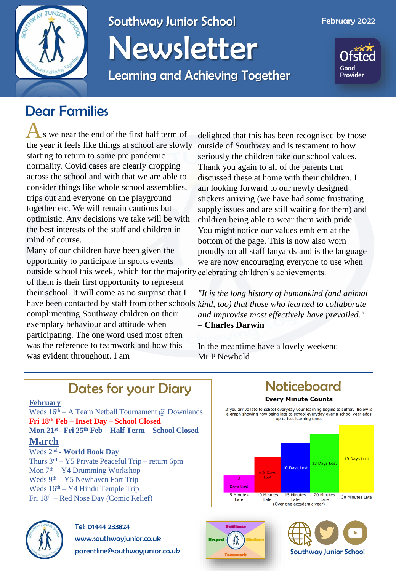

## Southway Junior School Newsletter

Learning and Achieving Together



### Dear Families

A s we near the end of the first half term of the year it feels like things at school are slowly starting to return to some pre pandemic normality. Covid cases are clearly dropping across the school and with that we are able to consider things like whole school assemblies, trips out and everyone on the playground together etc. We will remain cautious but optimistic. Any decisions we take will be with the best interests of the staff and children in mind of course.

Many of our children have been given the opportunity to participate in sports events outside school this week, which for the majority celebrating children's achievements. of them is their first opportunity to represent

their school. It will come as no surprise that I complimenting Southway children on their exemplary behaviour and attitude when participating. The one word used most often was the reference to teamwork and how this was evident throughout. I am

delighted that this has been recognised by those outside of Southway and is testament to how seriously the children take our school values. Thank you again to all of the parents that discussed these at home with their children. I am looking forward to our newly designed stickers arriving (we have had some frustrating supply issues and are still waiting for them) and children being able to wear them with pride. You might notice our values emblem at the bottom of the page. This is now also worn proudly on all staff lanyards and is the language we are now encouraging everyone to use when

have been contacted by staff from other schools *kind, too) that those who learned to collaborate "It is the long history of humankind (and animal and improvise most effectively have prevailed." –* **Charles Darwin**

> In the meantime have a lovely weekend Mr P Newbold

#### Dates for your Diary Noticeboard **February** If you arrive late to school everyday your learning begins to suffer. Below is Weds  $16<sup>th</sup> - A$  Team Netball Tournament @ Downlands a graph showing how being late to school everyday over a school year adds up to lost learning time. **Fri 18th Feb – Inset Day – School Closed Mon 21st - Fri 25th Feb – Half Term – School Closed March** Weds 2nd - **World Book Day** 19 Days Lost Thurs  $3<sup>rd</sup> - Y5$  Private Peaceful Trip – return 6pm 13 Days Lost 10 Days Lost Mon  $7<sup>th</sup> - Y4$  Drumming Workshop 6.5 Days Lost Weds 9<sup>th</sup> – Y5 Newhaven Fort Trip **Days Lost** Weds  $16<sup>th</sup> - Y4$  Hindu Temple Trip 5 Minutes 15 Minutes 20 Minutes 10 Minutes

30 Minutes Late Late Late Late (Over one accademic year)



#### Tel: 01444 233824

www.southwayjunior.co.uk

parentline@southwayjunior.co.uk



Late



Fri 18th – Red Nose Day (Comic Relief)